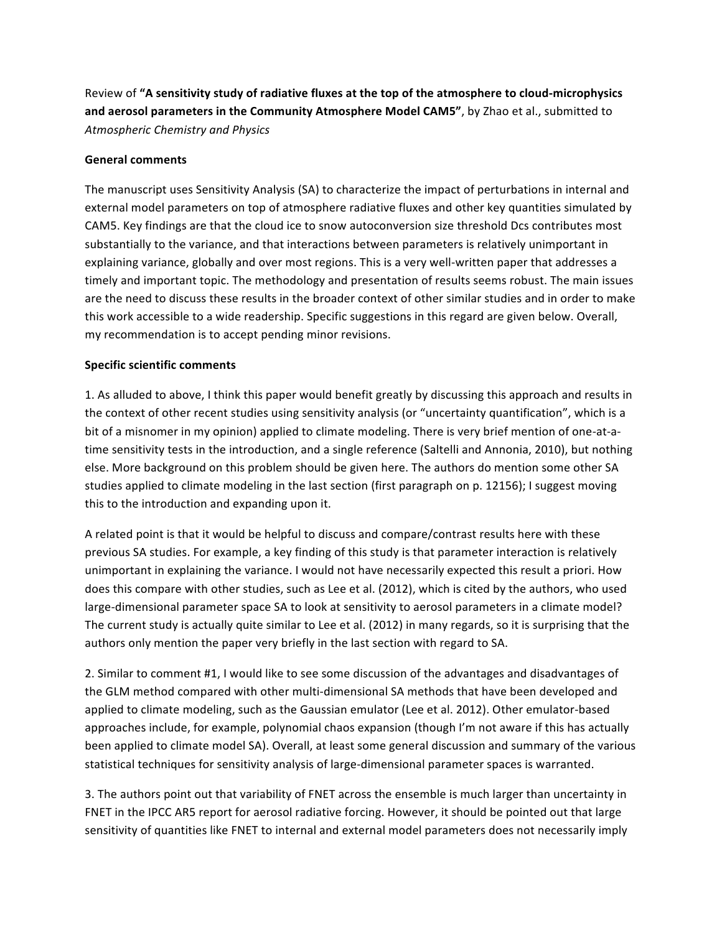Review of "A sensitivity study of radiative fluxes at the top of the atmosphere to cloud-microphysics and aerosol parameters in the Community Atmosphere Model CAM5", by Zhao et al., submitted to *Atmospheric Chemistry and Physics*

## **General comments**

The manuscript uses Sensitivity Analysis (SA) to characterize the impact of perturbations in internal and external model parameters on top of atmosphere radiative fluxes and other key quantities simulated by CAM5. Key findings are that the cloud ice to snow autoconversion size threshold Dcs contributes most substantially to the variance, and that interactions between parameters is relatively unimportant in explaining variance, globally and over most regions. This is a very well-written paper that addresses a timely and important topic. The methodology and presentation of results seems robust. The main issues are the need to discuss these results in the broader context of other similar studies and in order to make this work accessible to a wide readership. Specific suggestions in this regard are given below. Overall, my recommendation is to accept pending minor revisions.

## **Specific scientific comments**

1. As alluded to above, I think this paper would benefit greatly by discussing this approach and results in the context of other recent studies using sensitivity analysis (or "uncertainty quantification", which is a bit of a misnomer in my opinion) applied to climate modeling. There is very brief mention of one-at-atime sensitivity tests in the introduction, and a single reference (Saltelli and Annonia, 2010), but nothing else. More background on this problem should be given here. The authors do mention some other SA studies applied to climate modeling in the last section (first paragraph on p. 12156); I suggest moving this to the introduction and expanding upon it.

A related point is that it would be helpful to discuss and compare/contrast results here with these previous SA studies. For example, a key finding of this study is that parameter interaction is relatively unimportant in explaining the variance. I would not have necessarily expected this result a priori. How does this compare with other studies, such as Lee et al. (2012), which is cited by the authors, who used large-dimensional parameter space SA to look at sensitivity to aerosol parameters in a climate model? The current study is actually quite similar to Lee et al. (2012) in many regards, so it is surprising that the authors only mention the paper very briefly in the last section with regard to SA.

2. Similar to comment #1, I would like to see some discussion of the advantages and disadvantages of the GLM method compared with other multi-dimensional SA methods that have been developed and applied to climate modeling, such as the Gaussian emulator (Lee et al. 2012). Other emulator-based approaches include, for example, polynomial chaos expansion (though I'm not aware if this has actually been applied to climate model SA). Overall, at least some general discussion and summary of the various statistical techniques for sensitivity analysis of large-dimensional parameter spaces is warranted.

3. The authors point out that variability of FNET across the ensemble is much larger than uncertainty in FNET in the IPCC AR5 report for aerosol radiative forcing. However, it should be pointed out that large sensitivity of quantities like FNET to internal and external model parameters does not necessarily imply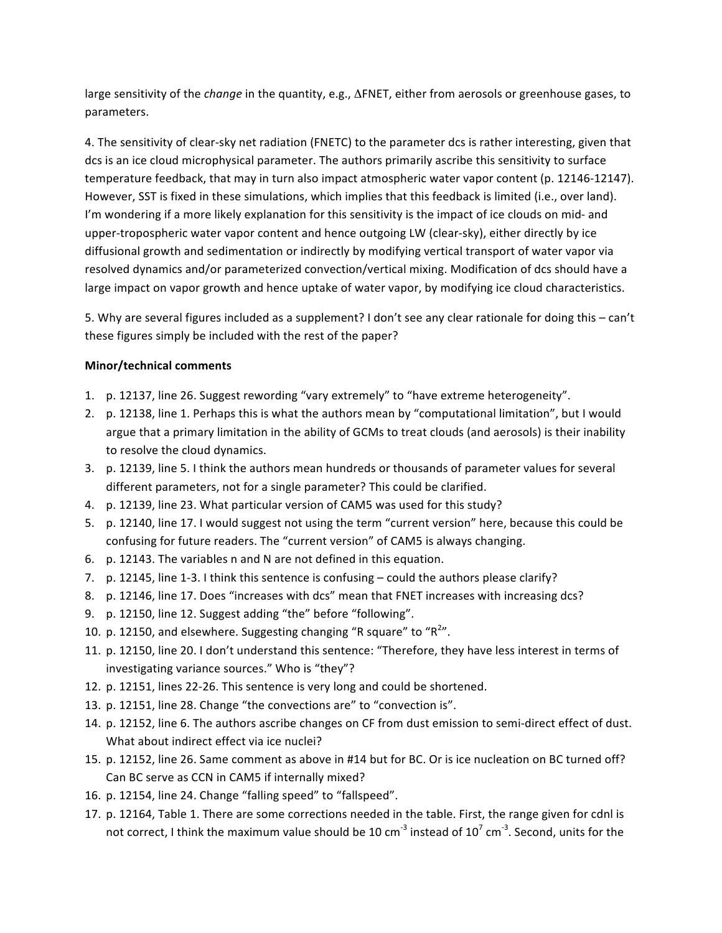large sensitivity of the *change* in the quantity, e.g., ΔFNET, either from aerosols or greenhouse gases, to parameters.

4. The sensitivity of clear-sky net radiation (FNETC) to the parameter dcs is rather interesting, given that dcs is an ice cloud microphysical parameter. The authors primarily ascribe this sensitivity to surface temperature feedback, that may in turn also impact atmospheric water vapor content (p. 12146-12147). However, SST is fixed in these simulations, which implies that this feedback is limited (i.e., over land). I'm wondering if a more likely explanation for this sensitivity is the impact of ice clouds on mid- and upper-tropospheric water vapor content and hence outgoing LW (clear-sky), either directly by ice diffusional growth and sedimentation or indirectly by modifying vertical transport of water vapor via resolved dynamics and/or parameterized convection/vertical mixing. Modification of dcs should have a large impact on vapor growth and hence uptake of water vapor, by modifying ice cloud characteristics.

5. Why are several figures included as a supplement? I don't see any clear rationale for doing this – can't these figures simply be included with the rest of the paper?

## **Minor/technical comments**

- 1. p. 12137, line 26. Suggest rewording "vary extremely" to "have extreme heterogeneity".
- 2. p. 12138, line 1. Perhaps this is what the authors mean by "computational limitation", but I would argue that a primary limitation in the ability of GCMs to treat clouds (and aerosols) is their inability to resolve the cloud dynamics.
- 3. p. 12139, line 5. I think the authors mean hundreds or thousands of parameter values for several different parameters, not for a single parameter? This could be clarified.
- 4. p. 12139, line 23. What particular version of CAM5 was used for this study?
- 5. p. 12140, line 17. I would suggest not using the term "current version" here, because this could be confusing for future readers. The "current version" of CAM5 is always changing.
- 6. p. 12143. The variables n and N are not defined in this equation.
- 7. p. 12145, line 1-3. I think this sentence is confusing could the authors please clarify?
- 8. p. 12146, line 17. Does "increases with dcs" mean that FNET increases with increasing dcs?
- 9. p. 12150, line 12. Suggest adding "the" before "following".
- 10. p. 12150, and elsewhere. Suggesting changing "R square" to " $R^{2\nu}$ .
- 11. p. 12150, line 20. I don't understand this sentence: "Therefore, they have less interest in terms of investigating variance sources." Who is "they"?
- 12. p. 12151, lines 22-26. This sentence is very long and could be shortened.
- 13. p. 12151, line 28. Change "the convections are" to "convection is".
- 14. p. 12152, line 6. The authors ascribe changes on CF from dust emission to semi-direct effect of dust. What about indirect effect via ice nuclei?
- 15. p. 12152, line 26. Same comment as above in #14 but for BC. Or is ice nucleation on BC turned off? Can BC serve as CCN in CAM5 if internally mixed?
- 16. p. 12154, line 24. Change "falling speed" to "fallspeed".
- 17. p. 12164, Table 1. There are some corrections needed in the table. First, the range given for cdnl is not correct, I think the maximum value should be 10 cm<sup>-3</sup> instead of 10<sup>7</sup> cm<sup>-3</sup>. Second, units for the